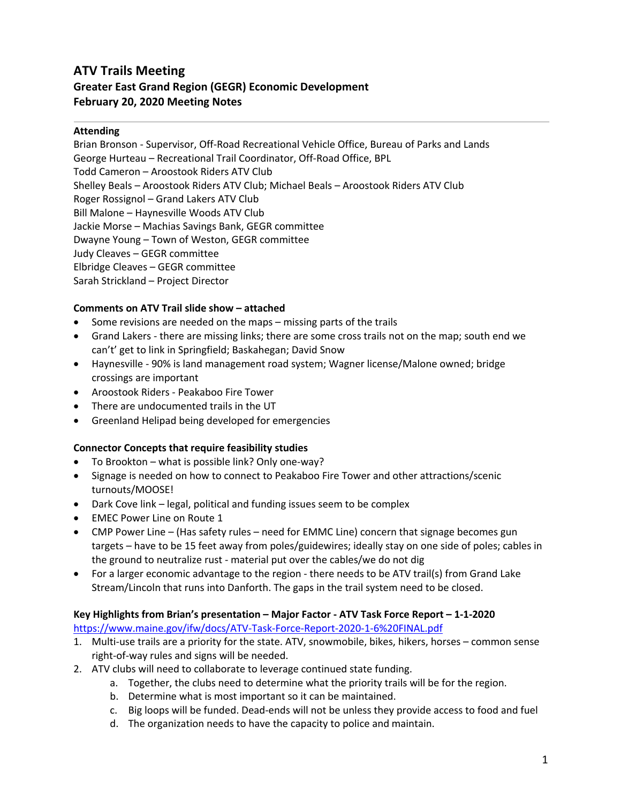# **ATV Trails Meeting Greater East Grand Region (GEGR) Economic Development February 20, 2020 Meeting Notes**

#### **Attending**

Brian Bronson - Supervisor, Off-Road Recreational Vehicle Office, Bureau of Parks and Lands George Hurteau – Recreational Trail Coordinator, Off-Road Office, BPL Todd Cameron – Aroostook Riders ATV Club Shelley Beals – Aroostook Riders ATV Club; Michael Beals – Aroostook Riders ATV Club Roger Rossignol – Grand Lakers ATV Club Bill Malone – Haynesville Woods ATV Club Jackie Morse – Machias Savings Bank, GEGR committee Dwayne Young – Town of Weston, GEGR committee Judy Cleaves – GEGR committee Elbridge Cleaves – GEGR committee Sarah Strickland – Project Director

#### **Comments on ATV Trail slide show – attached**

- Some revisions are needed on the maps missing parts of the trails
- Grand Lakers there are missing links; there are some cross trails not on the map; south end we can't' get to link in Springfield; Baskahegan; David Snow
- Haynesville 90% is land management road system; Wagner license/Malone owned; bridge crossings are important
- Aroostook Riders Peakaboo Fire Tower
- There are undocumented trails in the UT
- Greenland Helipad being developed for emergencies

#### **Connector Concepts that require feasibility studies**

- To Brookton what is possible link? Only one-way?
- Signage is needed on how to connect to Peakaboo Fire Tower and other attractions/scenic turnouts/MOOSE!
- Dark Cove link legal, political and funding issues seem to be complex
- EMEC Power Line on Route 1
- CMP Power Line (Has safety rules need for EMMC Line) concern that signage becomes gun targets – have to be 15 feet away from poles/guidewires; ideally stay on one side of poles; cables in the ground to neutralize rust - material put over the cables/we do not dig
- For a larger economic advantage to the region there needs to be ATV trail(s) from Grand Lake Stream/Lincoln that runs into Danforth. The gaps in the trail system need to be closed.

# **Key Highlights from Brian's presentation – Major Factor - ATV Task Force Report – 1-1-2020**

https://www.maine.gov/ifw/docs/ATV-Task-Force-Report-2020-1-6%20FINAL.pdf

- 1. Multi-use trails are a priority for the state. ATV, snowmobile, bikes, hikers, horses common sense right-of-way rules and signs will be needed.
- 2. ATV clubs will need to collaborate to leverage continued state funding.
	- a. Together, the clubs need to determine what the priority trails will be for the region.
	- b. Determine what is most important so it can be maintained.
	- c. Big loops will be funded. Dead-ends will not be unless they provide access to food and fuel
	- d. The organization needs to have the capacity to police and maintain.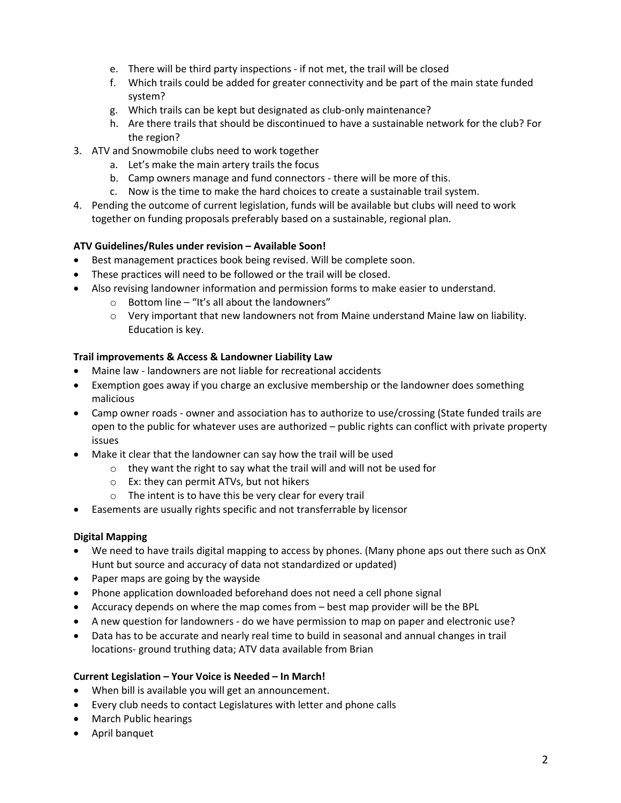- e. There will be third party inspections if not met, the trail will be closed
- f. Which trails could be added for greater connectivity and be part of the main state funded system?
- g. Which trails can be kept but designated as club-only maintenance?
- h. Are there trails that should be discontinued to have a sustainable network for the club? For the region?
- 3. ATV and Snowmobile clubs need to work together
	- a. Let's make the main artery trails the focus
	- b. Camp owners manage and fund connectors there will be more of this.
	- c. Now is the time to make the hard choices to create a sustainable trail system.
- 4. Pending the outcome of current legislation, funds will be available but clubs will need to work together on funding proposals preferably based on a sustainable, regional plan.

# **ATV Guidelines/Rules under revision – Available Soon!**

- Best management practices book being revised. Will be complete soon.
- These practices will need to be followed or the trail will be closed.
- Also revising landowner information and permission forms to make easier to understand.
	- $\circ$  Bottom line "It's all about the landowners"
	- $\circ$  Very important that new landowners not from Maine understand Maine law on liability. Education is key.

# **Trail improvements & Access & Landowner Liability Law**

- Maine law landowners are not liable for recreational accidents
- Exemption goes away if you charge an exclusive membership or the landowner does something malicious
- Camp owner roads owner and association has to authorize to use/crossing (State funded trails are open to the public for whatever uses are authorized – public rights can conflict with private property issues
- Make it clear that the landowner can say how the trail will be used
	- o they want the right to say what the trail will and will not be used for
	- o Ex: they can permit ATVs, but not hikers
	- o The intent is to have this be very clear for every trail
- Easements are usually rights specific and not transferrable by licensor

# **Digital Mapping**

- We need to have trails digital mapping to access by phones. (Many phone aps out there such as OnX Hunt but source and accuracy of data not standardized or updated)
- Paper maps are going by the wayside
- Phone application downloaded beforehand does not need a cell phone signal
- Accuracy depends on where the map comes from best map provider will be the BPL
- A new question for landowners do we have permission to map on paper and electronic use?
- Data has to be accurate and nearly real time to build in seasonal and annual changes in trail locations- ground truthing data; ATV data available from Brian

# **Current Legislation – Your Voice is Needed – In March!**

- When bill is available you will get an announcement.
- Every club needs to contact Legislatures with letter and phone calls
- March Public hearings
- April banquet